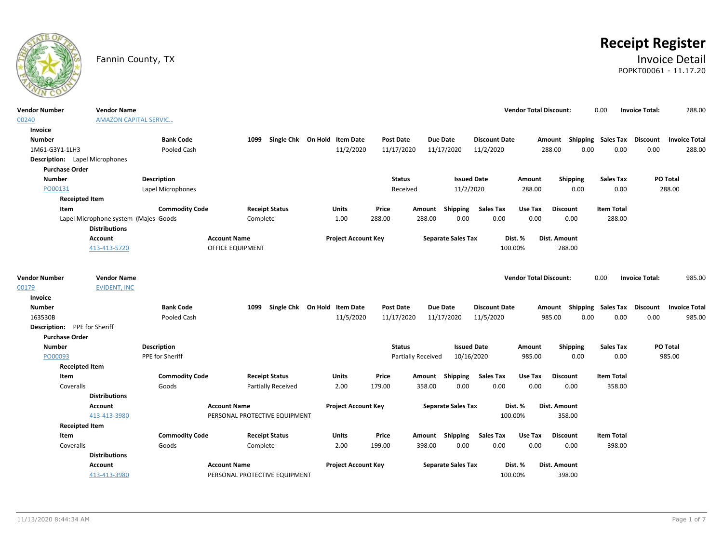

# **Receipt Register**

# Fannin County, TX **Invoice Detail** POPKT00061 - 11.17.20

| <b>Vendor Number</b><br>00240         | <b>Vendor Name</b><br><b>AMAZON CAPITAL SERVIC</b> |                       |                               |          |                           |                              |                  |                    |        |                           |                      | <b>Vendor Total Discount:</b> |                     |          | 0.00               | <b>Invoice Total:</b> | 288.00               |
|---------------------------------------|----------------------------------------------------|-----------------------|-------------------------------|----------|---------------------------|------------------------------|------------------|--------------------|--------|---------------------------|----------------------|-------------------------------|---------------------|----------|--------------------|-----------------------|----------------------|
| Invoice                               |                                                    |                       |                               |          |                           |                              |                  |                    |        |                           |                      |                               |                     |          |                    |                       |                      |
| <b>Number</b>                         |                                                    | <b>Bank Code</b>      |                               | 1099     |                           | Single Chk On Hold Item Date |                  | Post Date          |        | <b>Due Date</b>           | <b>Discount Date</b> |                               | Amount              |          | Shipping Sales Tax | Discount              | <b>Invoice Total</b> |
| 1M61-G3Y1-1LH3                        |                                                    | Pooled Cash           |                               |          |                           | 11/2/2020                    |                  | 11/17/2020         |        | 11/17/2020                | 11/2/2020            |                               | 288.00              | 0.00     | 0.00               | 0.00                  | 288.00               |
| <b>Description:</b> Lapel Microphones |                                                    |                       |                               |          |                           |                              |                  |                    |        |                           |                      |                               |                     |          |                    |                       |                      |
| <b>Purchase Order</b>                 |                                                    |                       |                               |          |                           |                              |                  |                    |        |                           |                      |                               |                     |          |                    |                       |                      |
| <b>Number</b>                         |                                                    | <b>Description</b>    |                               |          |                           |                              |                  | <b>Status</b>      |        | <b>Issued Date</b>        |                      | Amount                        |                     | Shipping | <b>Sales Tax</b>   |                       | PO Total             |
| PO00131                               |                                                    | Lapel Microphones     |                               |          |                           |                              |                  | Received           |        | 11/2/2020                 |                      | 288.00                        |                     | 0.00     | 0.00               |                       | 288.00               |
| <b>Receipted Item</b>                 |                                                    |                       |                               |          |                           |                              |                  |                    |        |                           |                      |                               |                     |          |                    |                       |                      |
| Item                                  |                                                    | <b>Commodity Code</b> |                               |          | <b>Receipt Status</b>     | Units                        | Price            |                    | Amount | Shipping                  | <b>Sales Tax</b>     | Use Tax                       | <b>Discount</b>     |          | <b>Item Total</b>  |                       |                      |
|                                       | Lapel Microphone system (Majes Goods               |                       |                               | Complete |                           | 1.00                         | 288.00           |                    | 288.00 | 0.00                      | 0.00                 | 0.00                          |                     | 0.00     | 288.00             |                       |                      |
|                                       | <b>Distributions</b>                               |                       |                               |          |                           |                              |                  |                    |        |                           |                      |                               |                     |          |                    |                       |                      |
|                                       | Account                                            |                       | <b>Account Name</b>           |          |                           | <b>Project Account Key</b>   |                  |                    |        | <b>Separate Sales Tax</b> |                      | Dist. %                       | <b>Dist. Amount</b> |          |                    |                       |                      |
|                                       | 413-413-5720                                       |                       | <b>OFFICE EQUIPMENT</b>       |          |                           |                              |                  |                    |        |                           |                      | 100.00%                       | 288.00              |          |                    |                       |                      |
|                                       |                                                    |                       |                               |          |                           |                              |                  |                    |        |                           |                      |                               |                     |          |                    |                       |                      |
| <b>Vendor Number</b>                  | <b>Vendor Name</b>                                 |                       |                               |          |                           |                              |                  |                    |        |                           |                      | <b>Vendor Total Discount:</b> |                     |          | 0.00               | <b>Invoice Total:</b> | 985.00               |
| 00179                                 | <b>EVIDENT, INC</b>                                |                       |                               |          |                           |                              |                  |                    |        |                           |                      |                               |                     |          |                    |                       |                      |
| Invoice                               |                                                    |                       |                               |          |                           |                              |                  |                    |        |                           |                      |                               |                     |          |                    |                       |                      |
| <b>Number</b>                         |                                                    | <b>Bank Code</b>      |                               | 1099     |                           | Single Chk On Hold Item Date | <b>Post Date</b> |                    |        | <b>Due Date</b>           | <b>Discount Date</b> |                               | Amount              |          | Shipping Sales Tax | <b>Discount</b>       | <b>Invoice Total</b> |
| 163530B                               |                                                    | Pooled Cash           |                               |          |                           | 11/5/2020                    |                  | 11/17/2020         |        | 11/17/2020                | 11/5/2020            |                               | 985.00              | 0.00     | 0.00               | 0.00                  | 985.00               |
| Description: PPE for Sheriff          |                                                    |                       |                               |          |                           |                              |                  |                    |        |                           |                      |                               |                     |          |                    |                       |                      |
| <b>Purchase Order</b>                 |                                                    |                       |                               |          |                           |                              |                  |                    |        |                           |                      |                               |                     |          |                    |                       |                      |
| <b>Number</b>                         |                                                    | Description           |                               |          |                           |                              |                  | <b>Status</b>      |        | <b>Issued Date</b>        |                      | Amount                        |                     | Shipping | <b>Sales Tax</b>   |                       | PO Total             |
| PO00093                               |                                                    | PPE for Sheriff       |                               |          |                           |                              |                  | Partially Received |        | 10/16/2020                |                      | 985.00                        |                     | 0.00     | 0.00               |                       | 985.00               |
| <b>Receipted Item</b>                 |                                                    |                       |                               |          |                           |                              |                  |                    |        |                           |                      |                               |                     |          |                    |                       |                      |
| Item                                  |                                                    | <b>Commodity Code</b> |                               |          | <b>Receipt Status</b>     | Units                        | Price            |                    | Amount | Shipping                  | <b>Sales Tax</b>     | Use Tax                       | <b>Discount</b>     |          | <b>Item Total</b>  |                       |                      |
| Coveralls                             |                                                    | Goods                 |                               |          | <b>Partially Received</b> | 2.00                         | 179.00           |                    | 358.00 | 0.00                      | 0.00                 | 0.00                          | 0.00                |          | 358.00             |                       |                      |
|                                       | <b>Distributions</b>                               |                       |                               |          |                           |                              |                  |                    |        |                           |                      |                               |                     |          |                    |                       |                      |
|                                       | Account                                            |                       | <b>Account Name</b>           |          |                           | <b>Project Account Key</b>   |                  |                    |        | <b>Separate Sales Tax</b> |                      | Dist. %                       | Dist. Amount        |          |                    |                       |                      |
|                                       | 413-413-3980                                       |                       | PERSONAL PROTECTIVE EQUIPMENT |          |                           |                              |                  |                    |        |                           |                      | 100.00%                       | 358.00              |          |                    |                       |                      |
| <b>Receipted Item</b>                 |                                                    |                       |                               |          |                           |                              |                  |                    |        |                           |                      |                               |                     |          |                    |                       |                      |
| Item                                  |                                                    | <b>Commodity Code</b> |                               |          | <b>Receipt Status</b>     | Units                        | Price            |                    |        | Amount Shipping           | <b>Sales Tax</b>     | Use Tax                       | <b>Discount</b>     |          | <b>Item Total</b>  |                       |                      |
| Coveralls                             |                                                    | Goods                 |                               | Complete |                           | 2.00                         | 199.00           |                    | 398.00 | 0.00                      | 0.00                 | 0.00                          | 0.00                |          | 398.00             |                       |                      |
|                                       | <b>Distributions</b>                               |                       |                               |          |                           |                              |                  |                    |        |                           |                      |                               |                     |          |                    |                       |                      |
|                                       | Account                                            |                       | <b>Account Name</b>           |          |                           | <b>Project Account Key</b>   |                  |                    |        | <b>Separate Sales Tax</b> |                      | Dist. %                       | Dist. Amount        |          |                    |                       |                      |
|                                       | 413-413-3980                                       |                       | PERSONAL PROTECTIVE EQUIPMENT |          |                           |                              |                  |                    |        |                           |                      | 100.00%                       | 398.00              |          |                    |                       |                      |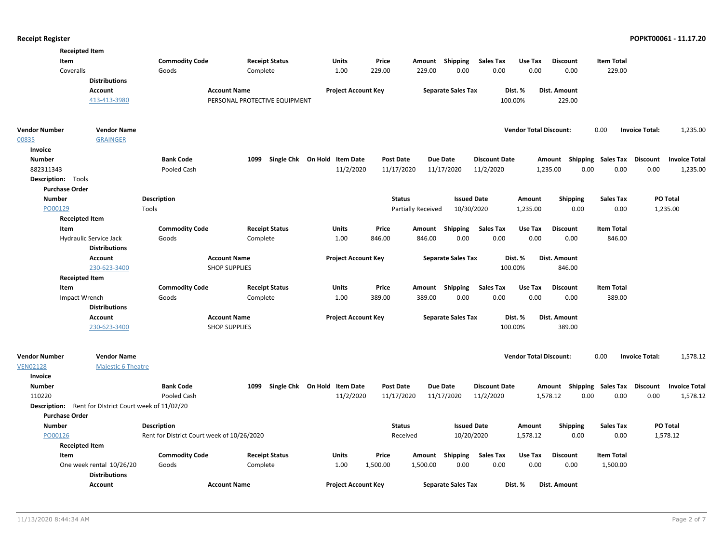| <b>Receipted Item</b><br>Item<br>Coveralls  | <b>Distributions</b><br>Account<br>413-413-3980       | <b>Commodity Code</b><br>Goods             | <b>Receipt Status</b><br>Complete<br><b>Account Name</b><br>PERSONAL PROTECTIVE EQUIPMENT | <b>Units</b><br>1.00<br><b>Project Account Key</b> | Price<br>229.00  | Amount<br>229.00   | Shipping<br>0.00<br><b>Separate Sales Tax</b> | <b>Sales Tax</b><br>0.00 | Use Tax<br>0.00<br>Dist. %<br>100.00% | <b>Discount</b><br>0.00<br>Dist. Amount<br>229.00 | <b>Item Total</b><br>229.00 |                       |                      |
|---------------------------------------------|-------------------------------------------------------|--------------------------------------------|-------------------------------------------------------------------------------------------|----------------------------------------------------|------------------|--------------------|-----------------------------------------------|--------------------------|---------------------------------------|---------------------------------------------------|-----------------------------|-----------------------|----------------------|
| Vendor Number                               | <b>Vendor Name</b>                                    |                                            |                                                                                           |                                                    |                  |                    |                                               |                          | <b>Vendor Total Discount:</b>         |                                                   | 0.00                        | <b>Invoice Total:</b> | 1,235.00             |
| 00835                                       | <b>GRAINGER</b>                                       |                                            |                                                                                           |                                                    |                  |                    |                                               |                          |                                       |                                                   |                             |                       |                      |
| Invoice                                     |                                                       |                                            |                                                                                           |                                                    |                  |                    |                                               |                          |                                       |                                                   |                             |                       |                      |
| <b>Number</b>                               |                                                       | <b>Bank Code</b>                           |                                                                                           | 1099 Single Chk On Hold Item Date                  | <b>Post Date</b> |                    | Due Date                                      | <b>Discount Date</b>     |                                       | Amount                                            | Shipping Sales Tax          | <b>Discount</b>       | <b>Invoice Total</b> |
| 882311343                                   |                                                       | Pooled Cash                                |                                                                                           | 11/2/2020                                          | 11/17/2020       |                    | 11/17/2020                                    | 11/2/2020                |                                       | 0.00<br>1,235.00                                  | 0.00                        | 0.00                  | 1,235.00             |
| Description: Tools                          |                                                       |                                            |                                                                                           |                                                    |                  |                    |                                               |                          |                                       |                                                   |                             |                       |                      |
| <b>Purchase Order</b>                       |                                                       |                                            |                                                                                           |                                                    |                  |                    |                                               |                          |                                       |                                                   |                             |                       |                      |
| <b>Number</b>                               |                                                       | Description                                |                                                                                           |                                                    | <b>Status</b>    |                    | <b>Issued Date</b>                            |                          | Amount                                | <b>Shipping</b>                                   | <b>Sales Tax</b>            | PO Total              |                      |
| PO00129                                     |                                                       | Tools                                      |                                                                                           |                                                    |                  | Partially Received | 10/30/2020                                    |                          | 1,235.00                              | 0.00                                              | 0.00                        | 1,235.00              |                      |
| <b>Receipted Item</b><br>Item               |                                                       | <b>Commodity Code</b>                      | <b>Receipt Status</b>                                                                     | <b>Units</b>                                       | Price            | Amount             | Shipping                                      | <b>Sales Tax</b>         | Use Tax                               | <b>Discount</b>                                   | <b>Item Total</b>           |                       |                      |
|                                             | Hydraulic Service Jack                                | Goods                                      | Complete                                                                                  | 1.00                                               | 846.00           | 846.00             | 0.00                                          | 0.00                     | 0.00                                  | 0.00                                              | 846.00                      |                       |                      |
|                                             | <b>Distributions</b>                                  |                                            |                                                                                           |                                                    |                  |                    |                                               |                          |                                       |                                                   |                             |                       |                      |
|                                             | Account                                               |                                            | <b>Account Name</b>                                                                       | <b>Project Account Key</b>                         |                  |                    | <b>Separate Sales Tax</b>                     |                          | Dist. %                               | Dist. Amount                                      |                             |                       |                      |
|                                             | 230-623-3400                                          |                                            | <b>SHOP SUPPLIES</b>                                                                      |                                                    |                  |                    |                                               |                          | 100.00%                               | 846.00                                            |                             |                       |                      |
| <b>Receipted Item</b>                       |                                                       |                                            |                                                                                           |                                                    |                  |                    |                                               |                          |                                       |                                                   |                             |                       |                      |
| Item                                        |                                                       | <b>Commodity Code</b>                      | <b>Receipt Status</b>                                                                     | <b>Units</b>                                       | Price            | Amount             | Shipping                                      | <b>Sales Tax</b>         | Use Tax                               | <b>Discount</b>                                   | <b>Item Total</b>           |                       |                      |
| Impact Wrench                               |                                                       | Goods                                      | Complete                                                                                  | 1.00                                               | 389.00           | 389.00             | 0.00                                          | 0.00                     | 0.00                                  | 0.00                                              | 389.00                      |                       |                      |
|                                             | <b>Distributions</b>                                  |                                            |                                                                                           |                                                    |                  |                    |                                               |                          |                                       |                                                   |                             |                       |                      |
|                                             | <b>Account</b>                                        |                                            | <b>Account Name</b>                                                                       | <b>Project Account Key</b>                         |                  |                    | <b>Separate Sales Tax</b>                     |                          | Dist. %                               | Dist. Amount                                      |                             |                       |                      |
|                                             | 230-623-3400                                          |                                            | <b>SHOP SUPPLIES</b>                                                                      |                                                    |                  |                    |                                               |                          | 100.00%                               | 389.00                                            |                             |                       |                      |
| Vendor Number<br><b>VEN02128</b><br>Invoice | <b>Vendor Name</b><br><b>Majestic 6 Theatre</b>       |                                            |                                                                                           |                                                    |                  |                    |                                               |                          | <b>Vendor Total Discount:</b>         |                                                   | 0.00                        | <b>Invoice Total:</b> | 1,578.12             |
| <b>Number</b>                               |                                                       | <b>Bank Code</b>                           | 1099                                                                                      | Single Chk On Hold Item Date                       | <b>Post Date</b> |                    | Due Date                                      | <b>Discount Date</b>     |                                       | Amount Shipping Sales Tax                         |                             | <b>Discount</b>       | <b>Invoice Total</b> |
| 110220                                      |                                                       | Pooled Cash                                |                                                                                           | 11/2/2020                                          | 11/17/2020       |                    | 11/17/2020                                    | 11/2/2020                |                                       | 1,578.12<br>0.00                                  | 0.00                        | 0.00                  | 1,578.12             |
|                                             | Description: Rent for District Court week of 11/02/20 |                                            |                                                                                           |                                                    |                  |                    |                                               |                          |                                       |                                                   |                             |                       |                      |
| <b>Purchase Order</b>                       |                                                       |                                            |                                                                                           |                                                    |                  |                    |                                               |                          |                                       |                                                   |                             |                       |                      |
| <b>Number</b>                               |                                                       | <b>Description</b>                         |                                                                                           |                                                    | <b>Status</b>    |                    | <b>Issued Date</b>                            |                          | Amount                                | <b>Shipping</b>                                   | <b>Sales Tax</b>            | PO Total              |                      |
| PO00126                                     |                                                       | Rent for District Court week of 10/26/2020 |                                                                                           |                                                    | Received         |                    | 10/20/2020                                    |                          | 1,578.12                              | 0.00                                              | 0.00                        | 1,578.12              |                      |
| <b>Receipted Item</b>                       |                                                       |                                            |                                                                                           |                                                    |                  |                    |                                               |                          |                                       |                                                   |                             |                       |                      |
| Item                                        |                                                       | <b>Commodity Code</b>                      | <b>Receipt Status</b>                                                                     | Units                                              | Price            |                    | Amount Shipping                               | Sales Tax                | Use Tax                               | <b>Discount</b>                                   | <b>Item Total</b>           |                       |                      |
|                                             | One week rental 10/26/20<br><b>Distributions</b>      | Goods                                      | Complete                                                                                  | 1.00                                               | 1,500.00         | 1,500.00           | 0.00                                          | 0.00                     | 0.00                                  | 0.00                                              | 1,500.00                    |                       |                      |
|                                             | Account                                               |                                            | <b>Account Name</b>                                                                       | <b>Project Account Key</b>                         |                  |                    | <b>Separate Sales Tax</b>                     |                          | Dist. %                               | Dist. Amount                                      |                             |                       |                      |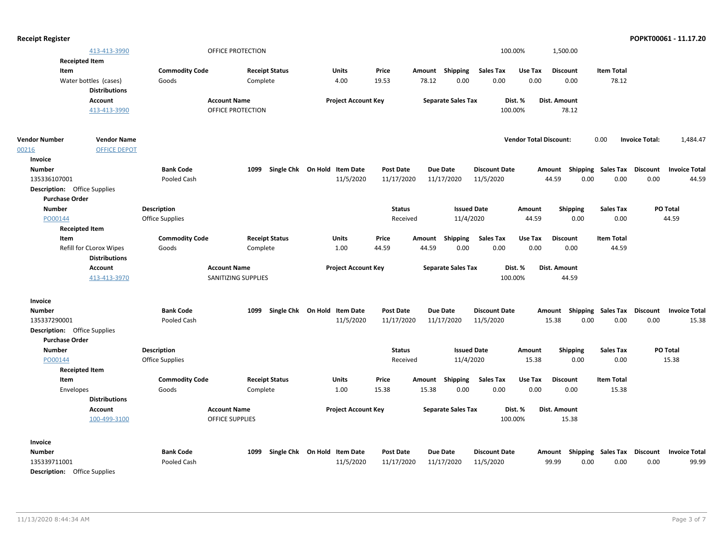| <b>Receipt Register</b>             |                                                 |                       |                        |                              |                  |        |                           |                      |                               |                                                  |                   |                       | POPKT00061 - 11.17.20 |
|-------------------------------------|-------------------------------------------------|-----------------------|------------------------|------------------------------|------------------|--------|---------------------------|----------------------|-------------------------------|--------------------------------------------------|-------------------|-----------------------|-----------------------|
|                                     | 413-413-3990                                    |                       | OFFICE PROTECTION      |                              |                  |        |                           |                      | 100.00%                       | 1,500.00                                         |                   |                       |                       |
|                                     | <b>Receipted Item</b>                           |                       |                        |                              |                  |        |                           |                      |                               |                                                  |                   |                       |                       |
| Item                                |                                                 | <b>Commodity Code</b> | <b>Receipt Status</b>  | Units                        | Price            |        | Amount Shipping           | <b>Sales Tax</b>     | Use Tax                       | <b>Discount</b>                                  | <b>Item Total</b> |                       |                       |
|                                     | Water bottles (cases)                           | Goods                 | Complete               | 4.00                         | 19.53            | 78.12  | 0.00                      | 0.00                 | 0.00                          | 0.00                                             | 78.12             |                       |                       |
|                                     | <b>Distributions</b>                            |                       |                        |                              |                  |        |                           |                      |                               |                                                  |                   |                       |                       |
|                                     | <b>Account</b>                                  |                       | <b>Account Name</b>    | <b>Project Account Key</b>   |                  |        | <b>Separate Sales Tax</b> |                      | Dist. %                       | Dist. Amount                                     |                   |                       |                       |
|                                     | 413-413-3990                                    |                       | OFFICE PROTECTION      |                              |                  |        |                           |                      | 100.00%                       | 78.12                                            |                   |                       |                       |
| <b>Vendor Number</b>                | <b>Vendor Name</b>                              |                       |                        |                              |                  |        |                           |                      | <b>Vendor Total Discount:</b> |                                                  | 0.00              | <b>Invoice Total:</b> | 1,484.47              |
| 00216                               | <b>OFFICE DEPOT</b>                             |                       |                        |                              |                  |        |                           |                      |                               |                                                  |                   |                       |                       |
| Invoice                             |                                                 |                       |                        |                              |                  |        |                           |                      |                               |                                                  |                   |                       |                       |
| <b>Number</b>                       |                                                 | <b>Bank Code</b>      | 1099                   | Single Chk On Hold Item Date | <b>Post Date</b> |        | Due Date                  | <b>Discount Date</b> |                               | Amount Shipping Sales Tax Discount               |                   |                       | <b>Invoice Total</b>  |
| 135336107001                        |                                                 | Pooled Cash           |                        | 11/5/2020                    | 11/17/2020       |        | 11/17/2020                | 11/5/2020            |                               | 44.59<br>0.00                                    | 0.00              | 0.00                  | 44.59                 |
| <b>Description:</b> Office Supplies |                                                 |                       |                        |                              |                  |        |                           |                      |                               |                                                  |                   |                       |                       |
| <b>Purchase Order</b>               |                                                 |                       |                        |                              |                  |        |                           |                      |                               |                                                  |                   |                       |                       |
| <b>Number</b>                       |                                                 | <b>Description</b>    |                        |                              | <b>Status</b>    |        | <b>Issued Date</b>        |                      | Amount                        | <b>Shipping</b>                                  | <b>Sales Tax</b>  |                       | PO Total              |
| PO00144                             |                                                 | Office Supplies       |                        |                              | Received         |        | 11/4/2020                 |                      | 44.59                         | 0.00                                             | 0.00              |                       | 44.59                 |
|                                     | <b>Receipted Item</b>                           |                       |                        |                              |                  |        |                           |                      |                               |                                                  |                   |                       |                       |
| Item                                |                                                 | <b>Commodity Code</b> | <b>Receipt Status</b>  | Units                        | Price            | Amount | Shipping                  | Sales Tax            | Use Tax                       | <b>Discount</b>                                  | <b>Item Total</b> |                       |                       |
|                                     | Refill for CLorox Wipes<br><b>Distributions</b> | Goods                 | Complete               | 1.00                         | 44.59            | 44.59  | 0.00                      | 0.00                 | 0.00                          | 0.00                                             | 44.59             |                       |                       |
|                                     |                                                 |                       | <b>Account Name</b>    |                              |                  |        |                           |                      |                               | Dist. Amount                                     |                   |                       |                       |
|                                     | Account<br>413-413-3970                         |                       | SANITIZING SUPPLIES    | <b>Project Account Key</b>   |                  |        | <b>Separate Sales Tax</b> |                      | Dist. %<br>100.00%            | 44.59                                            |                   |                       |                       |
| Invoice                             |                                                 |                       |                        |                              |                  |        |                           |                      |                               |                                                  |                   |                       |                       |
| <b>Number</b>                       |                                                 | <b>Bank Code</b>      | 1099                   | Single Chk On Hold Item Date | <b>Post Date</b> |        | Due Date                  | <b>Discount Date</b> |                               | Amount Shipping Sales Tax Discount               |                   |                       | <b>Invoice Total</b>  |
| 135337290001                        |                                                 | Pooled Cash           |                        | 11/5/2020                    | 11/17/2020       |        | 11/17/2020                | 11/5/2020            |                               | 15.38<br>0.00                                    | 0.00              | 0.00                  | 15.38                 |
| <b>Description:</b> Office Supplies |                                                 |                       |                        |                              |                  |        |                           |                      |                               |                                                  |                   |                       |                       |
| <b>Purchase Order</b>               |                                                 |                       |                        |                              |                  |        |                           |                      |                               |                                                  |                   |                       |                       |
| <b>Number</b>                       |                                                 | <b>Description</b>    |                        |                              | <b>Status</b>    |        | <b>Issued Date</b>        |                      | Amount                        | <b>Shipping</b>                                  | Sales Tax         |                       | PO Total              |
| PO00144                             |                                                 | Office Supplies       |                        |                              | Received         |        | 11/4/2020                 |                      | 15.38                         | 0.00                                             | 0.00              |                       | 15.38                 |
|                                     | <b>Receipted Item</b>                           |                       |                        |                              |                  |        |                           |                      |                               |                                                  |                   |                       |                       |
| Item                                |                                                 | <b>Commodity Code</b> | <b>Receipt Status</b>  | Units                        | Price            | Amount | Shipping                  | Sales Tax            | Use Tax                       | <b>Discount</b>                                  | <b>Item Total</b> |                       |                       |
| Envelopes                           |                                                 | Goods                 | Complete               | 1.00                         | 15.38            | 15.38  | 0.00                      | 0.00                 | 0.00                          | 0.00                                             | 15.38             |                       |                       |
|                                     | <b>Distributions</b>                            |                       |                        |                              |                  |        |                           |                      |                               |                                                  |                   |                       |                       |
|                                     | Account                                         |                       | <b>Account Name</b>    | <b>Project Account Key</b>   |                  |        | <b>Separate Sales Tax</b> |                      | Dist. %                       | Dist. Amount                                     |                   |                       |                       |
|                                     | 100-499-3100                                    |                       | <b>OFFICE SUPPLIES</b> |                              |                  |        |                           |                      | 100.00%                       | 15.38                                            |                   |                       |                       |
| Invoice                             |                                                 |                       |                        |                              |                  |        |                           |                      |                               |                                                  |                   |                       |                       |
| <b>Number</b>                       |                                                 | <b>Bank Code</b>      | 1099                   | Single Chk On Hold Item Date | Post Date        |        | Due Date                  | <b>Discount Date</b> |                               | Amount Shipping Sales Tax Discount Invoice Total |                   |                       |                       |

135339711001 Pooled Cash 11/5/2020 11/17/2020 11/17/2020 99.99 0.00 0.00 99.99 11/5/2020 Description: Office Supplies 0.00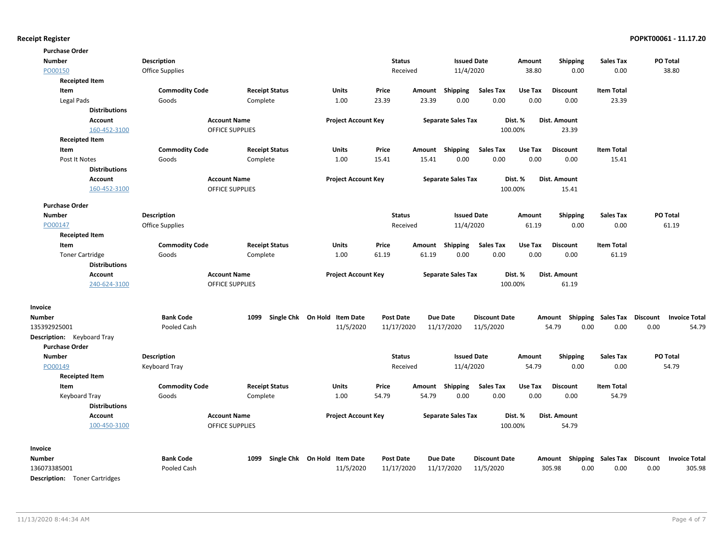| Description<br><b>Issued Date</b><br>PO Total<br><b>Number</b><br><b>Status</b><br>Amount<br><b>Shipping</b><br><b>Sales Tax</b><br>PO00150<br><b>Office Supplies</b><br>11/4/2020<br>38.80<br>0.00<br>0.00<br>38.80<br>Received<br><b>Receipted Item</b><br><b>Commodity Code</b><br><b>Receipt Status</b><br>Price<br><b>Sales Tax</b><br>Use Tax<br><b>Discount</b><br><b>Item Total</b><br>Item<br>Units<br>Amount<br>Shipping<br>Goods<br>23.39<br>0.00<br>0.00<br>0.00<br>23.39<br>Legal Pads<br>Complete<br>1.00<br>23.39<br>0.00<br><b>Distributions</b><br><b>Account Name</b><br><b>Project Account Key</b><br><b>Separate Sales Tax</b><br>Dist. %<br>Dist. Amount<br>Account<br>160-452-3100<br><b>OFFICE SUPPLIES</b><br>100.00%<br>23.39<br><b>Receipted Item</b><br><b>Commodity Code</b><br><b>Receipt Status</b><br>Units<br>Price<br>Shipping<br><b>Sales Tax</b><br>Use Tax<br><b>Discount</b><br><b>Item Total</b><br>Item<br>Amount<br>Complete<br>1.00<br>0.00<br>0.00<br>0.00<br>15.41<br>Post It Notes<br>Goods<br>15.41<br>15.41<br>0.00<br><b>Distributions</b><br><b>Account Name</b><br><b>Separate Sales Tax</b><br>Dist. %<br>Dist. Amount<br><b>Account</b><br><b>Project Account Key</b><br>160-452-3100<br><b>OFFICE SUPPLIES</b><br>100.00%<br>15.41<br><b>Purchase Order</b><br>Description<br><b>Status</b><br><b>Issued Date</b><br>PO Total<br><b>Number</b><br>Amount<br><b>Shipping</b><br><b>Sales Tax</b><br>0.00<br>PO00147<br><b>Office Supplies</b><br>Received<br>11/4/2020<br>61.19<br>0.00<br>61.19<br><b>Receipted Item</b><br>Item<br><b>Commodity Code</b><br><b>Receipt Status</b><br>Price<br>Shipping<br><b>Sales Tax</b><br><b>Discount</b><br><b>Item Total</b><br>Units<br>Amount<br>Use Tax<br>1.00<br>61.19<br>0.00<br>0.00<br>0.00<br>0.00<br>61.19<br><b>Toner Cartridge</b><br>Goods<br>Complete<br>61.19<br><b>Distributions</b><br><b>Account Name</b><br><b>Separate Sales Tax</b><br>Dist. %<br>Dist. Amount<br><b>Account</b><br><b>Project Account Key</b><br>240-624-3100<br>OFFICE SUPPLIES<br>100.00%<br>61.19<br>Invoice<br><b>Bank Code</b><br>Single Chk On Hold Item Date<br>Due Date<br>Shipping Sales Tax<br><b>Discount</b><br><b>Number</b><br>1099<br><b>Post Date</b><br><b>Discount Date</b><br>Amount<br>135392925001<br>11/5/2020<br>11/17/2020<br>11/17/2020<br>11/5/2020<br>54.79<br>0.00<br>0.00<br>0.00<br>Pooled Cash<br>Description: Keyboard Tray<br><b>Purchase Order</b><br><b>Status</b><br><b>Issued Date</b><br>Shipping<br><b>Sales Tax</b><br>PO Total<br><b>Number</b><br>Description<br>Amount<br>PO00149<br>11/4/2020<br>54.79<br>0.00<br>0.00<br>54.79<br>Keyboard Tray<br>Received<br><b>Receipted Item</b><br><b>Receipt Status</b><br>Price<br><b>Sales Tax</b><br>Discount<br>Item<br><b>Commodity Code</b><br>Units<br>Shipping<br>Use Tax<br><b>Item Total</b><br>Amount<br>1.00<br>54.79<br>54.79<br>0.00<br>0.00<br>0.00<br>54.79<br><b>Keyboard Tray</b><br>Goods<br>Complete<br>0.00<br><b>Distributions</b><br><b>Account</b><br><b>Account Name</b><br><b>Project Account Key</b><br><b>Separate Sales Tax</b><br>Dist. %<br>Dist. Amount | <b>Purchase Order</b> |  |  |  |  |  |                      |
|-------------------------------------------------------------------------------------------------------------------------------------------------------------------------------------------------------------------------------------------------------------------------------------------------------------------------------------------------------------------------------------------------------------------------------------------------------------------------------------------------------------------------------------------------------------------------------------------------------------------------------------------------------------------------------------------------------------------------------------------------------------------------------------------------------------------------------------------------------------------------------------------------------------------------------------------------------------------------------------------------------------------------------------------------------------------------------------------------------------------------------------------------------------------------------------------------------------------------------------------------------------------------------------------------------------------------------------------------------------------------------------------------------------------------------------------------------------------------------------------------------------------------------------------------------------------------------------------------------------------------------------------------------------------------------------------------------------------------------------------------------------------------------------------------------------------------------------------------------------------------------------------------------------------------------------------------------------------------------------------------------------------------------------------------------------------------------------------------------------------------------------------------------------------------------------------------------------------------------------------------------------------------------------------------------------------------------------------------------------------------------------------------------------------------------------------------------------------------------------------------------------------------------------------------------------------------------------------------------------------------------------------------------------------------------------------------------------------------------------------------------------------------------------------------------------------------------------------------------------------------------------------------------------------------------------------------------------------------------------------------------------------------------------------------------------------------------------------------------------------------------------------------------------|-----------------------|--|--|--|--|--|----------------------|
|                                                                                                                                                                                                                                                                                                                                                                                                                                                                                                                                                                                                                                                                                                                                                                                                                                                                                                                                                                                                                                                                                                                                                                                                                                                                                                                                                                                                                                                                                                                                                                                                                                                                                                                                                                                                                                                                                                                                                                                                                                                                                                                                                                                                                                                                                                                                                                                                                                                                                                                                                                                                                                                                                                                                                                                                                                                                                                                                                                                                                                                                                                                                                             |                       |  |  |  |  |  |                      |
|                                                                                                                                                                                                                                                                                                                                                                                                                                                                                                                                                                                                                                                                                                                                                                                                                                                                                                                                                                                                                                                                                                                                                                                                                                                                                                                                                                                                                                                                                                                                                                                                                                                                                                                                                                                                                                                                                                                                                                                                                                                                                                                                                                                                                                                                                                                                                                                                                                                                                                                                                                                                                                                                                                                                                                                                                                                                                                                                                                                                                                                                                                                                                             |                       |  |  |  |  |  |                      |
|                                                                                                                                                                                                                                                                                                                                                                                                                                                                                                                                                                                                                                                                                                                                                                                                                                                                                                                                                                                                                                                                                                                                                                                                                                                                                                                                                                                                                                                                                                                                                                                                                                                                                                                                                                                                                                                                                                                                                                                                                                                                                                                                                                                                                                                                                                                                                                                                                                                                                                                                                                                                                                                                                                                                                                                                                                                                                                                                                                                                                                                                                                                                                             |                       |  |  |  |  |  |                      |
|                                                                                                                                                                                                                                                                                                                                                                                                                                                                                                                                                                                                                                                                                                                                                                                                                                                                                                                                                                                                                                                                                                                                                                                                                                                                                                                                                                                                                                                                                                                                                                                                                                                                                                                                                                                                                                                                                                                                                                                                                                                                                                                                                                                                                                                                                                                                                                                                                                                                                                                                                                                                                                                                                                                                                                                                                                                                                                                                                                                                                                                                                                                                                             |                       |  |  |  |  |  |                      |
|                                                                                                                                                                                                                                                                                                                                                                                                                                                                                                                                                                                                                                                                                                                                                                                                                                                                                                                                                                                                                                                                                                                                                                                                                                                                                                                                                                                                                                                                                                                                                                                                                                                                                                                                                                                                                                                                                                                                                                                                                                                                                                                                                                                                                                                                                                                                                                                                                                                                                                                                                                                                                                                                                                                                                                                                                                                                                                                                                                                                                                                                                                                                                             |                       |  |  |  |  |  |                      |
|                                                                                                                                                                                                                                                                                                                                                                                                                                                                                                                                                                                                                                                                                                                                                                                                                                                                                                                                                                                                                                                                                                                                                                                                                                                                                                                                                                                                                                                                                                                                                                                                                                                                                                                                                                                                                                                                                                                                                                                                                                                                                                                                                                                                                                                                                                                                                                                                                                                                                                                                                                                                                                                                                                                                                                                                                                                                                                                                                                                                                                                                                                                                                             |                       |  |  |  |  |  |                      |
|                                                                                                                                                                                                                                                                                                                                                                                                                                                                                                                                                                                                                                                                                                                                                                                                                                                                                                                                                                                                                                                                                                                                                                                                                                                                                                                                                                                                                                                                                                                                                                                                                                                                                                                                                                                                                                                                                                                                                                                                                                                                                                                                                                                                                                                                                                                                                                                                                                                                                                                                                                                                                                                                                                                                                                                                                                                                                                                                                                                                                                                                                                                                                             |                       |  |  |  |  |  |                      |
|                                                                                                                                                                                                                                                                                                                                                                                                                                                                                                                                                                                                                                                                                                                                                                                                                                                                                                                                                                                                                                                                                                                                                                                                                                                                                                                                                                                                                                                                                                                                                                                                                                                                                                                                                                                                                                                                                                                                                                                                                                                                                                                                                                                                                                                                                                                                                                                                                                                                                                                                                                                                                                                                                                                                                                                                                                                                                                                                                                                                                                                                                                                                                             |                       |  |  |  |  |  |                      |
|                                                                                                                                                                                                                                                                                                                                                                                                                                                                                                                                                                                                                                                                                                                                                                                                                                                                                                                                                                                                                                                                                                                                                                                                                                                                                                                                                                                                                                                                                                                                                                                                                                                                                                                                                                                                                                                                                                                                                                                                                                                                                                                                                                                                                                                                                                                                                                                                                                                                                                                                                                                                                                                                                                                                                                                                                                                                                                                                                                                                                                                                                                                                                             |                       |  |  |  |  |  |                      |
|                                                                                                                                                                                                                                                                                                                                                                                                                                                                                                                                                                                                                                                                                                                                                                                                                                                                                                                                                                                                                                                                                                                                                                                                                                                                                                                                                                                                                                                                                                                                                                                                                                                                                                                                                                                                                                                                                                                                                                                                                                                                                                                                                                                                                                                                                                                                                                                                                                                                                                                                                                                                                                                                                                                                                                                                                                                                                                                                                                                                                                                                                                                                                             |                       |  |  |  |  |  |                      |
|                                                                                                                                                                                                                                                                                                                                                                                                                                                                                                                                                                                                                                                                                                                                                                                                                                                                                                                                                                                                                                                                                                                                                                                                                                                                                                                                                                                                                                                                                                                                                                                                                                                                                                                                                                                                                                                                                                                                                                                                                                                                                                                                                                                                                                                                                                                                                                                                                                                                                                                                                                                                                                                                                                                                                                                                                                                                                                                                                                                                                                                                                                                                                             |                       |  |  |  |  |  |                      |
|                                                                                                                                                                                                                                                                                                                                                                                                                                                                                                                                                                                                                                                                                                                                                                                                                                                                                                                                                                                                                                                                                                                                                                                                                                                                                                                                                                                                                                                                                                                                                                                                                                                                                                                                                                                                                                                                                                                                                                                                                                                                                                                                                                                                                                                                                                                                                                                                                                                                                                                                                                                                                                                                                                                                                                                                                                                                                                                                                                                                                                                                                                                                                             |                       |  |  |  |  |  |                      |
|                                                                                                                                                                                                                                                                                                                                                                                                                                                                                                                                                                                                                                                                                                                                                                                                                                                                                                                                                                                                                                                                                                                                                                                                                                                                                                                                                                                                                                                                                                                                                                                                                                                                                                                                                                                                                                                                                                                                                                                                                                                                                                                                                                                                                                                                                                                                                                                                                                                                                                                                                                                                                                                                                                                                                                                                                                                                                                                                                                                                                                                                                                                                                             |                       |  |  |  |  |  |                      |
|                                                                                                                                                                                                                                                                                                                                                                                                                                                                                                                                                                                                                                                                                                                                                                                                                                                                                                                                                                                                                                                                                                                                                                                                                                                                                                                                                                                                                                                                                                                                                                                                                                                                                                                                                                                                                                                                                                                                                                                                                                                                                                                                                                                                                                                                                                                                                                                                                                                                                                                                                                                                                                                                                                                                                                                                                                                                                                                                                                                                                                                                                                                                                             |                       |  |  |  |  |  |                      |
|                                                                                                                                                                                                                                                                                                                                                                                                                                                                                                                                                                                                                                                                                                                                                                                                                                                                                                                                                                                                                                                                                                                                                                                                                                                                                                                                                                                                                                                                                                                                                                                                                                                                                                                                                                                                                                                                                                                                                                                                                                                                                                                                                                                                                                                                                                                                                                                                                                                                                                                                                                                                                                                                                                                                                                                                                                                                                                                                                                                                                                                                                                                                                             |                       |  |  |  |  |  |                      |
|                                                                                                                                                                                                                                                                                                                                                                                                                                                                                                                                                                                                                                                                                                                                                                                                                                                                                                                                                                                                                                                                                                                                                                                                                                                                                                                                                                                                                                                                                                                                                                                                                                                                                                                                                                                                                                                                                                                                                                                                                                                                                                                                                                                                                                                                                                                                                                                                                                                                                                                                                                                                                                                                                                                                                                                                                                                                                                                                                                                                                                                                                                                                                             |                       |  |  |  |  |  |                      |
|                                                                                                                                                                                                                                                                                                                                                                                                                                                                                                                                                                                                                                                                                                                                                                                                                                                                                                                                                                                                                                                                                                                                                                                                                                                                                                                                                                                                                                                                                                                                                                                                                                                                                                                                                                                                                                                                                                                                                                                                                                                                                                                                                                                                                                                                                                                                                                                                                                                                                                                                                                                                                                                                                                                                                                                                                                                                                                                                                                                                                                                                                                                                                             |                       |  |  |  |  |  |                      |
|                                                                                                                                                                                                                                                                                                                                                                                                                                                                                                                                                                                                                                                                                                                                                                                                                                                                                                                                                                                                                                                                                                                                                                                                                                                                                                                                                                                                                                                                                                                                                                                                                                                                                                                                                                                                                                                                                                                                                                                                                                                                                                                                                                                                                                                                                                                                                                                                                                                                                                                                                                                                                                                                                                                                                                                                                                                                                                                                                                                                                                                                                                                                                             |                       |  |  |  |  |  |                      |
|                                                                                                                                                                                                                                                                                                                                                                                                                                                                                                                                                                                                                                                                                                                                                                                                                                                                                                                                                                                                                                                                                                                                                                                                                                                                                                                                                                                                                                                                                                                                                                                                                                                                                                                                                                                                                                                                                                                                                                                                                                                                                                                                                                                                                                                                                                                                                                                                                                                                                                                                                                                                                                                                                                                                                                                                                                                                                                                                                                                                                                                                                                                                                             |                       |  |  |  |  |  |                      |
|                                                                                                                                                                                                                                                                                                                                                                                                                                                                                                                                                                                                                                                                                                                                                                                                                                                                                                                                                                                                                                                                                                                                                                                                                                                                                                                                                                                                                                                                                                                                                                                                                                                                                                                                                                                                                                                                                                                                                                                                                                                                                                                                                                                                                                                                                                                                                                                                                                                                                                                                                                                                                                                                                                                                                                                                                                                                                                                                                                                                                                                                                                                                                             |                       |  |  |  |  |  |                      |
|                                                                                                                                                                                                                                                                                                                                                                                                                                                                                                                                                                                                                                                                                                                                                                                                                                                                                                                                                                                                                                                                                                                                                                                                                                                                                                                                                                                                                                                                                                                                                                                                                                                                                                                                                                                                                                                                                                                                                                                                                                                                                                                                                                                                                                                                                                                                                                                                                                                                                                                                                                                                                                                                                                                                                                                                                                                                                                                                                                                                                                                                                                                                                             |                       |  |  |  |  |  |                      |
|                                                                                                                                                                                                                                                                                                                                                                                                                                                                                                                                                                                                                                                                                                                                                                                                                                                                                                                                                                                                                                                                                                                                                                                                                                                                                                                                                                                                                                                                                                                                                                                                                                                                                                                                                                                                                                                                                                                                                                                                                                                                                                                                                                                                                                                                                                                                                                                                                                                                                                                                                                                                                                                                                                                                                                                                                                                                                                                                                                                                                                                                                                                                                             |                       |  |  |  |  |  |                      |
|                                                                                                                                                                                                                                                                                                                                                                                                                                                                                                                                                                                                                                                                                                                                                                                                                                                                                                                                                                                                                                                                                                                                                                                                                                                                                                                                                                                                                                                                                                                                                                                                                                                                                                                                                                                                                                                                                                                                                                                                                                                                                                                                                                                                                                                                                                                                                                                                                                                                                                                                                                                                                                                                                                                                                                                                                                                                                                                                                                                                                                                                                                                                                             |                       |  |  |  |  |  |                      |
|                                                                                                                                                                                                                                                                                                                                                                                                                                                                                                                                                                                                                                                                                                                                                                                                                                                                                                                                                                                                                                                                                                                                                                                                                                                                                                                                                                                                                                                                                                                                                                                                                                                                                                                                                                                                                                                                                                                                                                                                                                                                                                                                                                                                                                                                                                                                                                                                                                                                                                                                                                                                                                                                                                                                                                                                                                                                                                                                                                                                                                                                                                                                                             |                       |  |  |  |  |  |                      |
|                                                                                                                                                                                                                                                                                                                                                                                                                                                                                                                                                                                                                                                                                                                                                                                                                                                                                                                                                                                                                                                                                                                                                                                                                                                                                                                                                                                                                                                                                                                                                                                                                                                                                                                                                                                                                                                                                                                                                                                                                                                                                                                                                                                                                                                                                                                                                                                                                                                                                                                                                                                                                                                                                                                                                                                                                                                                                                                                                                                                                                                                                                                                                             |                       |  |  |  |  |  |                      |
|                                                                                                                                                                                                                                                                                                                                                                                                                                                                                                                                                                                                                                                                                                                                                                                                                                                                                                                                                                                                                                                                                                                                                                                                                                                                                                                                                                                                                                                                                                                                                                                                                                                                                                                                                                                                                                                                                                                                                                                                                                                                                                                                                                                                                                                                                                                                                                                                                                                                                                                                                                                                                                                                                                                                                                                                                                                                                                                                                                                                                                                                                                                                                             |                       |  |  |  |  |  | <b>Invoice Total</b> |
|                                                                                                                                                                                                                                                                                                                                                                                                                                                                                                                                                                                                                                                                                                                                                                                                                                                                                                                                                                                                                                                                                                                                                                                                                                                                                                                                                                                                                                                                                                                                                                                                                                                                                                                                                                                                                                                                                                                                                                                                                                                                                                                                                                                                                                                                                                                                                                                                                                                                                                                                                                                                                                                                                                                                                                                                                                                                                                                                                                                                                                                                                                                                                             |                       |  |  |  |  |  | 54.79                |
|                                                                                                                                                                                                                                                                                                                                                                                                                                                                                                                                                                                                                                                                                                                                                                                                                                                                                                                                                                                                                                                                                                                                                                                                                                                                                                                                                                                                                                                                                                                                                                                                                                                                                                                                                                                                                                                                                                                                                                                                                                                                                                                                                                                                                                                                                                                                                                                                                                                                                                                                                                                                                                                                                                                                                                                                                                                                                                                                                                                                                                                                                                                                                             |                       |  |  |  |  |  |                      |
|                                                                                                                                                                                                                                                                                                                                                                                                                                                                                                                                                                                                                                                                                                                                                                                                                                                                                                                                                                                                                                                                                                                                                                                                                                                                                                                                                                                                                                                                                                                                                                                                                                                                                                                                                                                                                                                                                                                                                                                                                                                                                                                                                                                                                                                                                                                                                                                                                                                                                                                                                                                                                                                                                                                                                                                                                                                                                                                                                                                                                                                                                                                                                             |                       |  |  |  |  |  |                      |
|                                                                                                                                                                                                                                                                                                                                                                                                                                                                                                                                                                                                                                                                                                                                                                                                                                                                                                                                                                                                                                                                                                                                                                                                                                                                                                                                                                                                                                                                                                                                                                                                                                                                                                                                                                                                                                                                                                                                                                                                                                                                                                                                                                                                                                                                                                                                                                                                                                                                                                                                                                                                                                                                                                                                                                                                                                                                                                                                                                                                                                                                                                                                                             |                       |  |  |  |  |  |                      |
|                                                                                                                                                                                                                                                                                                                                                                                                                                                                                                                                                                                                                                                                                                                                                                                                                                                                                                                                                                                                                                                                                                                                                                                                                                                                                                                                                                                                                                                                                                                                                                                                                                                                                                                                                                                                                                                                                                                                                                                                                                                                                                                                                                                                                                                                                                                                                                                                                                                                                                                                                                                                                                                                                                                                                                                                                                                                                                                                                                                                                                                                                                                                                             |                       |  |  |  |  |  |                      |
|                                                                                                                                                                                                                                                                                                                                                                                                                                                                                                                                                                                                                                                                                                                                                                                                                                                                                                                                                                                                                                                                                                                                                                                                                                                                                                                                                                                                                                                                                                                                                                                                                                                                                                                                                                                                                                                                                                                                                                                                                                                                                                                                                                                                                                                                                                                                                                                                                                                                                                                                                                                                                                                                                                                                                                                                                                                                                                                                                                                                                                                                                                                                                             |                       |  |  |  |  |  |                      |
|                                                                                                                                                                                                                                                                                                                                                                                                                                                                                                                                                                                                                                                                                                                                                                                                                                                                                                                                                                                                                                                                                                                                                                                                                                                                                                                                                                                                                                                                                                                                                                                                                                                                                                                                                                                                                                                                                                                                                                                                                                                                                                                                                                                                                                                                                                                                                                                                                                                                                                                                                                                                                                                                                                                                                                                                                                                                                                                                                                                                                                                                                                                                                             |                       |  |  |  |  |  |                      |
|                                                                                                                                                                                                                                                                                                                                                                                                                                                                                                                                                                                                                                                                                                                                                                                                                                                                                                                                                                                                                                                                                                                                                                                                                                                                                                                                                                                                                                                                                                                                                                                                                                                                                                                                                                                                                                                                                                                                                                                                                                                                                                                                                                                                                                                                                                                                                                                                                                                                                                                                                                                                                                                                                                                                                                                                                                                                                                                                                                                                                                                                                                                                                             |                       |  |  |  |  |  |                      |
|                                                                                                                                                                                                                                                                                                                                                                                                                                                                                                                                                                                                                                                                                                                                                                                                                                                                                                                                                                                                                                                                                                                                                                                                                                                                                                                                                                                                                                                                                                                                                                                                                                                                                                                                                                                                                                                                                                                                                                                                                                                                                                                                                                                                                                                                                                                                                                                                                                                                                                                                                                                                                                                                                                                                                                                                                                                                                                                                                                                                                                                                                                                                                             |                       |  |  |  |  |  |                      |
|                                                                                                                                                                                                                                                                                                                                                                                                                                                                                                                                                                                                                                                                                                                                                                                                                                                                                                                                                                                                                                                                                                                                                                                                                                                                                                                                                                                                                                                                                                                                                                                                                                                                                                                                                                                                                                                                                                                                                                                                                                                                                                                                                                                                                                                                                                                                                                                                                                                                                                                                                                                                                                                                                                                                                                                                                                                                                                                                                                                                                                                                                                                                                             |                       |  |  |  |  |  |                      |
| OFFICE SUPPLIES<br>100.00%<br>54.79                                                                                                                                                                                                                                                                                                                                                                                                                                                                                                                                                                                                                                                                                                                                                                                                                                                                                                                                                                                                                                                                                                                                                                                                                                                                                                                                                                                                                                                                                                                                                                                                                                                                                                                                                                                                                                                                                                                                                                                                                                                                                                                                                                                                                                                                                                                                                                                                                                                                                                                                                                                                                                                                                                                                                                                                                                                                                                                                                                                                                                                                                                                         | 100-450-3100          |  |  |  |  |  |                      |
| Invoice                                                                                                                                                                                                                                                                                                                                                                                                                                                                                                                                                                                                                                                                                                                                                                                                                                                                                                                                                                                                                                                                                                                                                                                                                                                                                                                                                                                                                                                                                                                                                                                                                                                                                                                                                                                                                                                                                                                                                                                                                                                                                                                                                                                                                                                                                                                                                                                                                                                                                                                                                                                                                                                                                                                                                                                                                                                                                                                                                                                                                                                                                                                                                     |                       |  |  |  |  |  |                      |
| <b>Bank Code</b><br>1099<br>Single Chk On Hold Item Date<br><b>Post Date</b><br><b>Due Date</b><br><b>Discount Date</b><br>Amount Shipping Sales Tax<br><b>Discount</b><br><b>Number</b>                                                                                                                                                                                                                                                                                                                                                                                                                                                                                                                                                                                                                                                                                                                                                                                                                                                                                                                                                                                                                                                                                                                                                                                                                                                                                                                                                                                                                                                                                                                                                                                                                                                                                                                                                                                                                                                                                                                                                                                                                                                                                                                                                                                                                                                                                                                                                                                                                                                                                                                                                                                                                                                                                                                                                                                                                                                                                                                                                                    |                       |  |  |  |  |  | <b>Invoice Total</b> |
| 0.00<br>136073385001<br>11/5/2020<br>11/17/2020<br>11/17/2020<br>11/5/2020<br>305.98<br>0.00<br>0.00<br>Pooled Cash                                                                                                                                                                                                                                                                                                                                                                                                                                                                                                                                                                                                                                                                                                                                                                                                                                                                                                                                                                                                                                                                                                                                                                                                                                                                                                                                                                                                                                                                                                                                                                                                                                                                                                                                                                                                                                                                                                                                                                                                                                                                                                                                                                                                                                                                                                                                                                                                                                                                                                                                                                                                                                                                                                                                                                                                                                                                                                                                                                                                                                         |                       |  |  |  |  |  | 305.98               |
| <b>Description:</b> Toner Cartridges                                                                                                                                                                                                                                                                                                                                                                                                                                                                                                                                                                                                                                                                                                                                                                                                                                                                                                                                                                                                                                                                                                                                                                                                                                                                                                                                                                                                                                                                                                                                                                                                                                                                                                                                                                                                                                                                                                                                                                                                                                                                                                                                                                                                                                                                                                                                                                                                                                                                                                                                                                                                                                                                                                                                                                                                                                                                                                                                                                                                                                                                                                                        |                       |  |  |  |  |  |                      |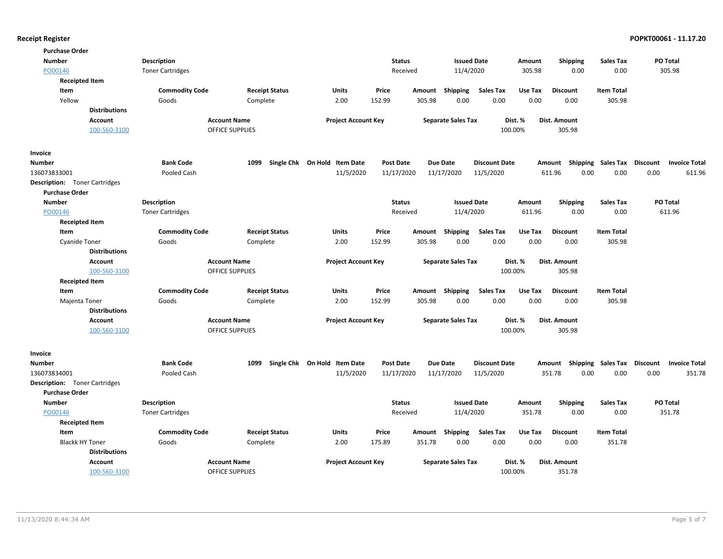| <b>Purchase Order</b>                |                      |                         |                        |                              |                  |        |                           |                      |         |                                    |                   |          |                      |
|--------------------------------------|----------------------|-------------------------|------------------------|------------------------------|------------------|--------|---------------------------|----------------------|---------|------------------------------------|-------------------|----------|----------------------|
| <b>Number</b>                        |                      | Description             |                        |                              | <b>Status</b>    |        | <b>Issued Date</b>        |                      | Amount  | <b>Shipping</b>                    | <b>Sales Tax</b>  |          | PO Total             |
| PO00146                              |                      | <b>Toner Cartridges</b> |                        |                              | Received         |        | 11/4/2020                 |                      | 305.98  | 0.00                               | 0.00              |          | 305.98               |
| <b>Receipted Item</b>                |                      |                         |                        |                              |                  |        |                           |                      |         |                                    |                   |          |                      |
| Item                                 |                      | <b>Commodity Code</b>   | <b>Receipt Status</b>  | Units                        | Price            | Amount | Shipping                  | <b>Sales Tax</b>     | Use Tax | <b>Discount</b>                    | <b>Item Total</b> |          |                      |
| Yellow                               |                      | Goods                   | Complete               | 2.00                         | 152.99           | 305.98 | 0.00                      | 0.00                 | 0.00    | 0.00                               | 305.98            |          |                      |
|                                      | <b>Distributions</b> |                         |                        |                              |                  |        |                           |                      |         |                                    |                   |          |                      |
|                                      | <b>Account</b>       |                         | <b>Account Name</b>    | <b>Project Account Key</b>   |                  |        | <b>Separate Sales Tax</b> |                      | Dist. % | <b>Dist. Amount</b>                |                   |          |                      |
|                                      | 100-560-3100         |                         | <b>OFFICE SUPPLIES</b> |                              |                  |        |                           | 100.00%              |         | 305.98                             |                   |          |                      |
| Invoice                              |                      |                         |                        |                              |                  |        |                           |                      |         |                                    |                   |          |                      |
| <b>Number</b>                        |                      | <b>Bank Code</b>        | 1099                   | Single Chk On Hold Item Date | <b>Post Date</b> |        | <b>Due Date</b>           | <b>Discount Date</b> |         | Amount Shipping Sales Tax          |                   | Discount | <b>Invoice Total</b> |
| 136073833001                         |                      | Pooled Cash             |                        | 11/5/2020                    | 11/17/2020       |        | 11/17/2020                | 11/5/2020            |         | 611.96<br>0.00                     | 0.00              | 0.00     | 611.96               |
| <b>Description:</b> Toner Cartridges |                      |                         |                        |                              |                  |        |                           |                      |         |                                    |                   |          |                      |
| <b>Purchase Order</b>                |                      |                         |                        |                              |                  |        |                           |                      |         |                                    |                   |          |                      |
| <b>Number</b>                        |                      | Description             |                        |                              | <b>Status</b>    |        | <b>Issued Date</b>        |                      | Amount  | <b>Shipping</b>                    | <b>Sales Tax</b>  |          | PO Total             |
| PO00146                              |                      | <b>Toner Cartridges</b> |                        |                              | Received         |        | 11/4/2020                 |                      | 611.96  | 0.00                               | 0.00              |          | 611.96               |
| <b>Receipted Item</b>                |                      |                         |                        |                              |                  |        |                           |                      |         |                                    |                   |          |                      |
| Item                                 |                      | <b>Commodity Code</b>   | <b>Receipt Status</b>  | Units                        | Price            | Amount | Shipping                  | <b>Sales Tax</b>     | Use Tax | <b>Discount</b>                    | <b>Item Total</b> |          |                      |
| <b>Cyanide Toner</b>                 |                      | Goods                   | Complete               | 2.00                         | 152.99           | 305.98 | 0.00                      | 0.00                 | 0.00    | 0.00                               | 305.98            |          |                      |
|                                      | <b>Distributions</b> |                         |                        |                              |                  |        |                           |                      |         |                                    |                   |          |                      |
|                                      | <b>Account</b>       |                         | <b>Account Name</b>    | <b>Project Account Key</b>   |                  |        | <b>Separate Sales Tax</b> |                      | Dist. % | Dist. Amount                       |                   |          |                      |
|                                      | 100-560-3100         |                         | <b>OFFICE SUPPLIES</b> |                              |                  |        |                           | 100.00%              |         | 305.98                             |                   |          |                      |
| <b>Receipted Item</b>                |                      |                         |                        |                              |                  |        |                           |                      |         |                                    |                   |          |                      |
| Item                                 |                      | <b>Commodity Code</b>   | <b>Receipt Status</b>  | Units                        | Price            | Amount | Shipping                  | <b>Sales Tax</b>     | Use Tax | <b>Discount</b>                    | <b>Item Total</b> |          |                      |
| Majenta Toner                        |                      | Goods                   | Complete               | 2.00                         | 152.99           | 305.98 | 0.00                      | 0.00                 | 0.00    | 0.00                               | 305.98            |          |                      |
|                                      | <b>Distributions</b> |                         |                        |                              |                  |        |                           |                      |         |                                    |                   |          |                      |
|                                      | <b>Account</b>       |                         | <b>Account Name</b>    | <b>Project Account Key</b>   |                  |        | <b>Separate Sales Tax</b> |                      | Dist. % | Dist. Amount                       |                   |          |                      |
|                                      | 100-560-3100         |                         | <b>OFFICE SUPPLIES</b> |                              |                  |        |                           | 100.00%              |         | 305.98                             |                   |          |                      |
| Invoice                              |                      |                         |                        |                              |                  |        |                           |                      |         |                                    |                   |          |                      |
| <b>Number</b>                        |                      | <b>Bank Code</b>        | 1099                   | Single Chk On Hold Item Date | <b>Post Date</b> |        | <b>Due Date</b>           | <b>Discount Date</b> |         | Amount Shipping Sales Tax Discount |                   |          | <b>Invoice Total</b> |
| 136073834001                         |                      | Pooled Cash             |                        | 11/5/2020                    | 11/17/2020       |        | 11/17/2020                | 11/5/2020            |         | 351.78<br>0.00                     | 0.00              | 0.00     | 351.78               |
| <b>Description:</b> Toner Cartridges |                      |                         |                        |                              |                  |        |                           |                      |         |                                    |                   |          |                      |
| <b>Purchase Order</b>                |                      |                         |                        |                              |                  |        |                           |                      |         |                                    |                   |          |                      |
| <b>Number</b>                        |                      | Description             |                        |                              | <b>Status</b>    |        | <b>Issued Date</b>        |                      | Amount  | <b>Shipping</b>                    | <b>Sales Tax</b>  |          | PO Total             |
| PO00146                              |                      | <b>Toner Cartridges</b> |                        |                              | Received         |        | 11/4/2020                 |                      | 351.78  | 0.00                               | 0.00              |          | 351.78               |
| <b>Receipted Item</b>                |                      |                         |                        |                              |                  |        |                           |                      |         |                                    |                   |          |                      |
| Item                                 |                      | <b>Commodity Code</b>   | <b>Receipt Status</b>  | Units                        | Price            | Amount | Shipping                  | <b>Sales Tax</b>     | Use Tax | <b>Discount</b>                    | <b>Item Total</b> |          |                      |
| <b>Blackk HY Toner</b>               |                      | Goods                   | Complete               | 2.00                         | 175.89           | 351.78 | 0.00                      | 0.00                 | 0.00    | 0.00                               | 351.78            |          |                      |
|                                      | <b>Distributions</b> |                         |                        |                              |                  |        |                           |                      |         |                                    |                   |          |                      |
|                                      | <b>Account</b>       |                         | <b>Account Name</b>    | <b>Project Account Key</b>   |                  |        | <b>Separate Sales Tax</b> |                      | Dist. % | Dist. Amount                       |                   |          |                      |
|                                      | 100-560-3100         |                         | <b>OFFICE SUPPLIES</b> |                              |                  |        |                           | 100.00%              |         | 351.78                             |                   |          |                      |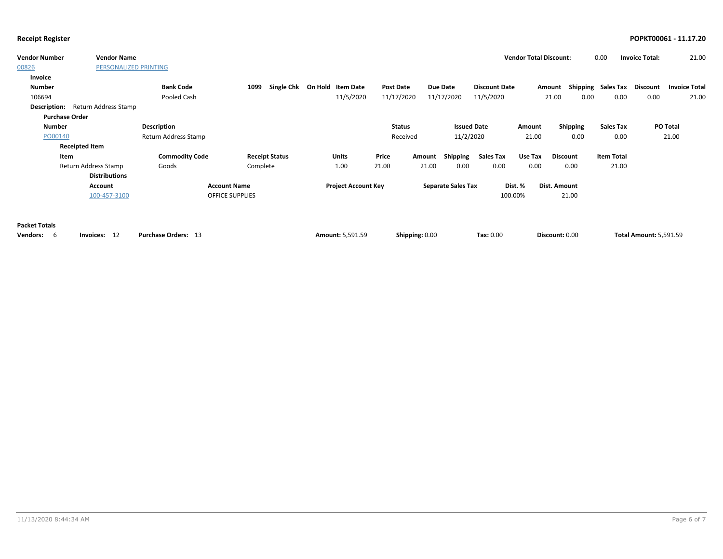| <b>Vendor Number</b>  | <b>Vendor Name</b>    |                            |                           |                            |                |                           |                      | <b>Vendor Total Discount:</b> |                     | 0.00                      | <b>Invoice Total:</b>         | 21.00                |
|-----------------------|-----------------------|----------------------------|---------------------------|----------------------------|----------------|---------------------------|----------------------|-------------------------------|---------------------|---------------------------|-------------------------------|----------------------|
| 00826                 | PERSONALIZED PRINTING |                            |                           |                            |                |                           |                      |                               |                     |                           |                               |                      |
| Invoice               |                       |                            |                           |                            |                |                           |                      |                               |                     |                           |                               |                      |
| Number                |                       | <b>Bank Code</b>           | <b>Single Chk</b><br>1099 | On Hold Item Date          | Post Date      | Due Date                  | <b>Discount Date</b> | Amount                        |                     | <b>Shipping Sales Tax</b> | Discount                      | <b>Invoice Total</b> |
| 106694                |                       | Pooled Cash                |                           | 11/5/2020                  | 11/17/2020     | 11/17/2020                | 11/5/2020            |                               | 21.00<br>0.00       | 0.00                      | 0.00                          | 21.00                |
| Description:          | Return Address Stamp  |                            |                           |                            |                |                           |                      |                               |                     |                           |                               |                      |
| <b>Purchase Order</b> |                       |                            |                           |                            |                |                           |                      |                               |                     |                           |                               |                      |
| <b>Number</b>         |                       | Description                |                           |                            | <b>Status</b>  |                           | <b>Issued Date</b>   | Amount                        | <b>Shipping</b>     | <b>Sales Tax</b>          | PO Total                      |                      |
| PO00140               |                       | Return Address Stamp       |                           |                            | Received       |                           | 11/2/2020            | 21.00                         | 0.00                | 0.00                      | 21.00                         |                      |
|                       | <b>Receipted Item</b> |                            |                           |                            |                |                           |                      |                               |                     |                           |                               |                      |
| Item                  |                       | <b>Commodity Code</b>      | <b>Receipt Status</b>     | <b>Units</b>               | Price          | Shipping<br>Amount        | <b>Sales Tax</b>     | Use Tax                       | Discount            | <b>Item Total</b>         |                               |                      |
|                       | Return Address Stamp  | Goods                      | Complete                  | 1.00                       | 21.00          | 21.00<br>0.00             | 0.00                 | 0.00                          | 0.00                | 21.00                     |                               |                      |
|                       | <b>Distributions</b>  |                            |                           |                            |                |                           |                      |                               |                     |                           |                               |                      |
|                       | Account               | <b>Account Name</b>        |                           | <b>Project Account Key</b> |                | <b>Separate Sales Tax</b> |                      | Dist. %                       | <b>Dist. Amount</b> |                           |                               |                      |
|                       | 100-457-3100          | <b>OFFICE SUPPLIES</b>     |                           |                            |                |                           | 100.00%              |                               | 21.00               |                           |                               |                      |
|                       |                       |                            |                           |                            |                |                           |                      |                               |                     |                           |                               |                      |
|                       |                       |                            |                           |                            |                |                           |                      |                               |                     |                           |                               |                      |
| <b>Packet Totals</b>  |                       |                            |                           |                            |                |                           |                      |                               |                     |                           |                               |                      |
| <b>Vendors:</b><br>-6 | Invoices: 12          | <b>Purchase Orders: 13</b> |                           | <b>Amount: 5,591.59</b>    | Shipping: 0.00 |                           | Tax: 0.00            |                               | Discount: 0.00      |                           | <b>Total Amount: 5,591.59</b> |                      |